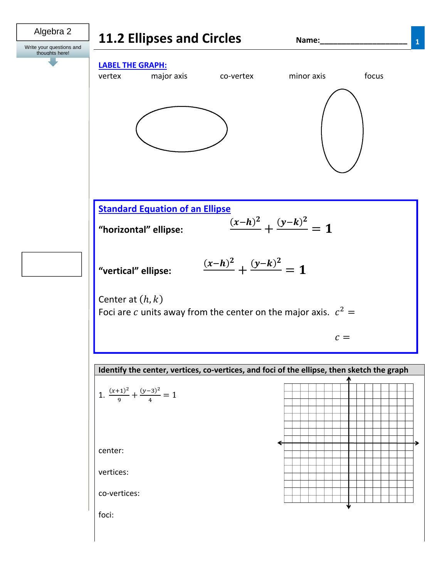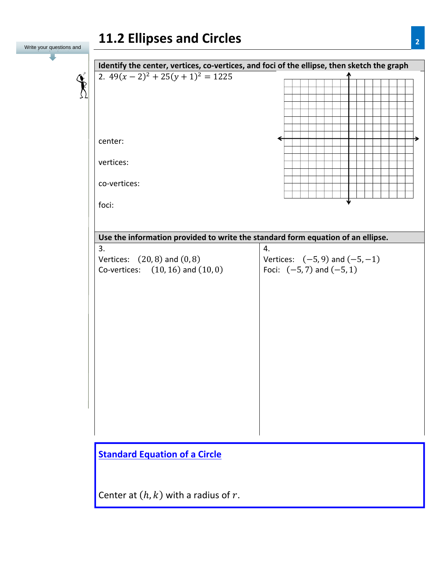# **11.2 Ellipses and Circles <sup>2</sup>**

| Write your questions and | TTIC FIIIDJEJ QIIQ AIILIEJ                                                                 | $\mathbf{Z}$                       |
|--------------------------|--------------------------------------------------------------------------------------------|------------------------------------|
|                          |                                                                                            |                                    |
|                          | Identify the center, vertices, co-vertices, and foci of the ellipse, then sketch the graph |                                    |
|                          | 2. $49(x-2)^2 + 25(y+1)^2 = 1225$                                                          |                                    |
|                          |                                                                                            |                                    |
|                          |                                                                                            |                                    |
|                          |                                                                                            |                                    |
|                          |                                                                                            |                                    |
|                          |                                                                                            |                                    |
|                          |                                                                                            |                                    |
|                          | center:                                                                                    |                                    |
|                          |                                                                                            |                                    |
|                          | vertices:                                                                                  |                                    |
|                          |                                                                                            |                                    |
|                          | co-vertices:                                                                               |                                    |
|                          |                                                                                            |                                    |
|                          | foci:                                                                                      |                                    |
|                          |                                                                                            |                                    |
|                          |                                                                                            |                                    |
|                          | Use the information provided to write the standard form equation of an ellipse.            |                                    |
|                          | 3.                                                                                         | 4.                                 |
|                          | Vertices: $(20, 8)$ and $(0, 8)$                                                           | Vertices: $(-5, 9)$ and $(-5, -1)$ |
|                          | Co-vertices: $(10, 16)$ and $(10, 0)$                                                      | Foci: $(-5, 7)$ and $(-5, 1)$      |
|                          |                                                                                            |                                    |
|                          |                                                                                            |                                    |
|                          |                                                                                            |                                    |
|                          |                                                                                            |                                    |
|                          |                                                                                            |                                    |
|                          |                                                                                            |                                    |
|                          |                                                                                            |                                    |
|                          |                                                                                            |                                    |
|                          |                                                                                            |                                    |
|                          |                                                                                            |                                    |
|                          |                                                                                            |                                    |
|                          |                                                                                            |                                    |
|                          |                                                                                            |                                    |
|                          |                                                                                            |                                    |
|                          |                                                                                            |                                    |
|                          |                                                                                            |                                    |
|                          |                                                                                            |                                    |
|                          | <b>Standard Equation of a Circle</b>                                                       |                                    |
|                          |                                                                                            |                                    |
|                          |                                                                                            |                                    |
|                          |                                                                                            |                                    |
|                          | Center at $(h, k)$ with a radius of r.                                                     |                                    |
|                          |                                                                                            |                                    |
|                          |                                                                                            |                                    |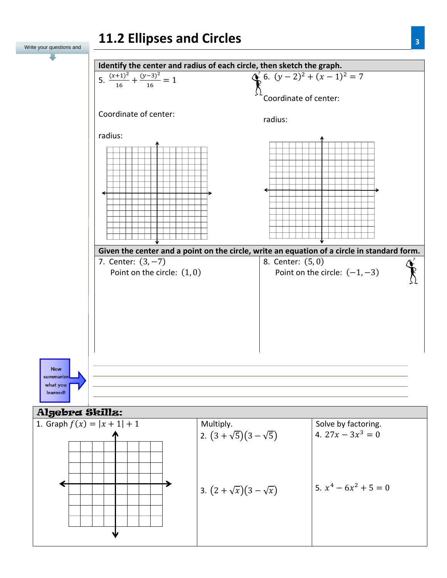

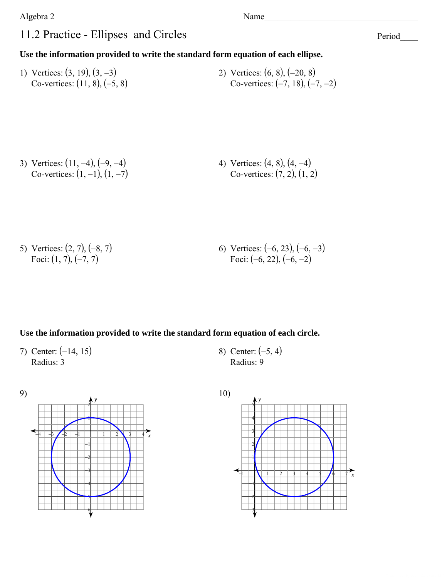#### Algebra 2 and 2 Name and 2 Name and 2 Name and 2 Name and 2 Name and 2 Name and 2 Name and 2 Name and 2 Name and 2 Name and 2 Name and 2 Name and 2 Name and 2 Name and 2 Name and 2 Name and 2 Name and 2 Name and 2 Name and

### 11.2 Practice - Ellipses and Circles

Period\_\_\_\_

#### **Use the information provided to write the standard form equation of each ellipse.**

1) Vertices:  $(3, 19)$ ,  $(3, -3)$ Co-vertices:  $(11, 8), (-5, 8)$ 2) Vertices:  $(6, 8)$ ,  $(-20, 8)$ Co-vertices:  $(-7, 18), (-7, -2)$ 

3) Vertices:  $(11, -4)$ ,  $(-9, -4)$ Co-vertices:  $(1, -1)$ ,  $(1, -7)$ 4) Vertices:  $(4, 8)$ ,  $(4, -4)$ Co-vertices:  $(7, 2)$ ,  $(1, 2)$ 

5) Vertices:  $(2, 7), (-8, 7)$ Foci:  $(1, 7), (-7, 7)$ 6) Vertices:  $(-6, 23), (-6, -3)$ Foci:  $(-6, 22), (-6, -2)$ 

#### **Use the information provided to write the standard form equation of each circle.**

7) Center:  $(-14, 15)$ Radius: 3

8) Center:  $(-5, 4)$ Radius: 9



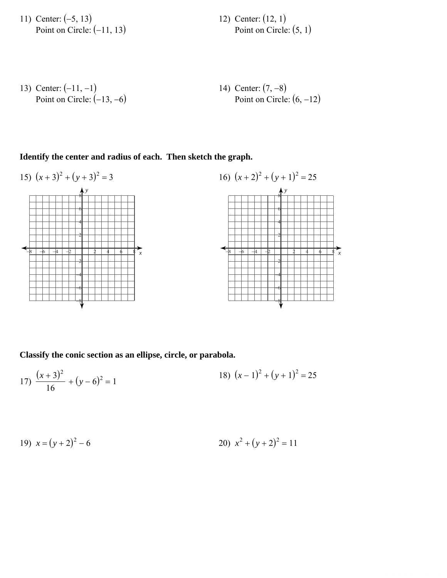11) Center:  $(-5, 13)$ Point on Circle:  $(-11, 13)$  12) Center:  $(12, 1)$ Point on Circle:  $(5, 1)$ 

13) Center: 
$$
(-11, -1)
$$
  
Point on Circle:  $(-13, -6)$   
Point on Circle:  $(-13, -6)$   
Point on Circle:  $(6, -12)$ 

#### **Identify the center and radius of each. Then sketch the graph.**



**Classify the conic section as an ellipse, circle, or parabola.**

17) 
$$
\frac{(x+3)^2}{16} + (y-6)^2 = 1
$$
18) 
$$
(x-1)^2 + (y+1)^2 = 25
$$

19) 
$$
x = (y+2)^2 - 6
$$
  
20)  $x^2 + (y+2)^2 = 11$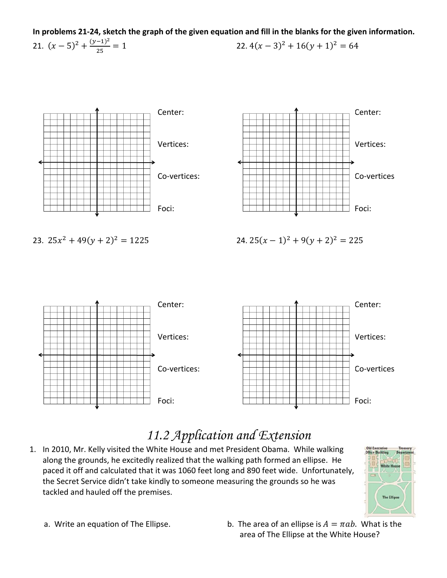In problems 21-24, sketch the graph of the given equation and fill in the blanks for the given information. 21.  $(x-5)^2 + \frac{(y-1)^2}{25} = 1$ 22.  $4(x-3)^2 + 16(y+1)^2 = 64$ 



## 11.2 Application and Extension

1. In 2010, Mr. Kelly visited the White House and met President Obama. While walking along the grounds, he excitedly realized that the walking path formed an ellipse. He paced it off and calculated that it was 1060 feet long and 890 feet wide. Unfortunately, the Secret Service didn't take kindly to someone measuring the grounds so he was tackled and hauled off the premises.



- a. Write an equation of The Ellipse.
- b. The area of an ellipse is  $A = \pi ab$ . What is the area of The Ellipse at the White House?